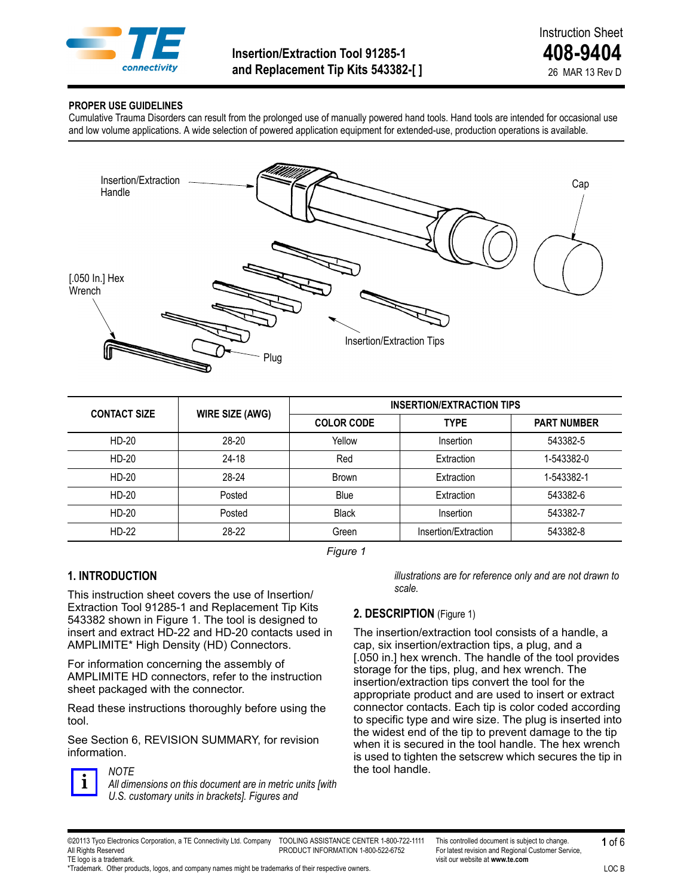

#### **PROPER USE GUIDELINES**

Cumulative Trauma Disorders can result from the prolonged use of manually powered hand tools. Hand tools are intended for occasional use and low volume applications. A wide selection of powered application equipment for extended-use, production operations is available.



| <b>CONTACT SIZE</b> | <b>WIRE SIZE (AWG)</b> | <b>INSERTION/EXTRACTION TIPS</b> |                      |                    |
|---------------------|------------------------|----------------------------------|----------------------|--------------------|
|                     | <b>COLOR CODE</b>      |                                  | <b>TYPE</b>          | <b>PART NUMBER</b> |
| HD-20               | 28-20                  | Yellow                           | Insertion            | 543382-5           |
| HD-20               | $24 - 18$              | Red                              | Extraction           | 1-543382-0         |
| HD-20               | 28-24                  | <b>Brown</b>                     | Extraction           | 1-543382-1         |
| HD-20               | Posted                 | Blue                             | Extraction           | 543382-6           |
| HD-20               | Posted                 | <b>Black</b>                     | Insertion            | 543382-7           |
| HD-22               | 28-22                  | Green                            | Insertion/Extraction | 543382-8           |

*Figure 1*

### **1. INTRODUCTION**

This instruction sheet covers the use of Insertion/ Extraction Tool 91285-1 and Replacement Tip Kits 543382 shown in Figure 1. The tool is designed to insert and extract HD-22 and HD-20 contacts used in AMPLIMITE\* High Density (HD) Connectors.

For information concerning the assembly of AMPLIMITE HD connectors, refer to the instruction sheet packaged with the connector.

Read these instructions thoroughly before using the tool.

See Section 6, REVISION SUMMARY, for revision information.



# *NOTE*

*All dimensions on this document are in metric units [with U.S. customary units in brackets]. Figures and* 

*illustrations are for reference only and are not drawn to scale.*

# **2. DESCRIPTION** (Figure 1)

The insertion/extraction tool consists of a handle, a cap, six insertion/extraction tips, a plug, and a [.050 in.] hex wrench. The handle of the tool provides storage for the tips, plug, and hex wrench. The insertion/extraction tips convert the tool for the appropriate product and are used to insert or extract connector contacts. Each tip is color coded according to specific type and wire size. The plug is inserted into the widest end of the tip to prevent damage to the tip when it is secured in the tool handle. The hex wrench is used to tighten the setscrew which secures the tip in the tool handle.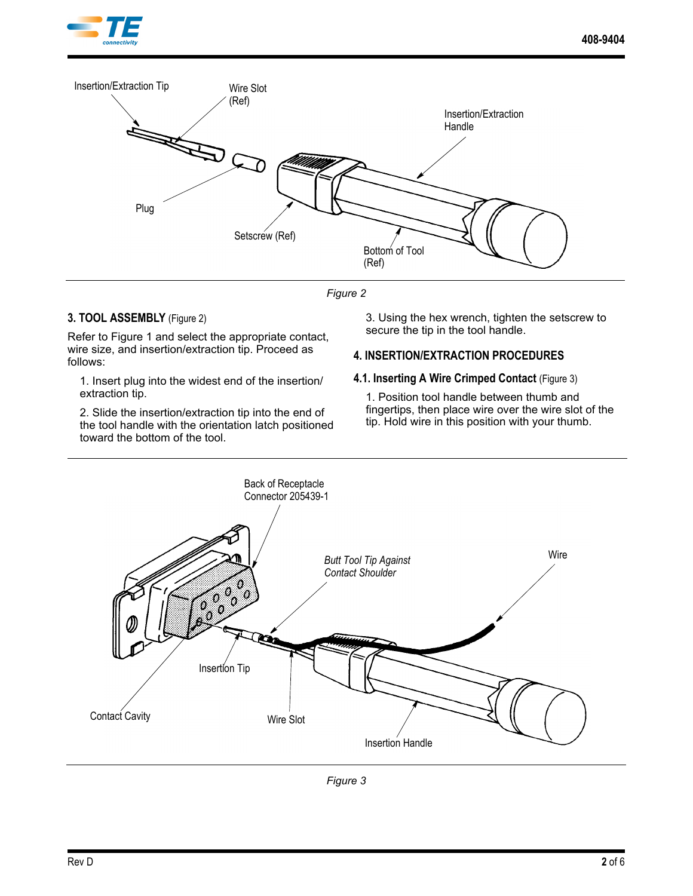



*Figure 2*

## **3. TOOL ASSEMBLY** (Figure 2)

Refer to Figure 1 and select the appropriate contact, wire size, and insertion/extraction tip. Proceed as follows:

1. Insert plug into the widest end of the insertion/ extraction tip.

2. Slide the insertion/extraction tip into the end of the tool handle with the orientation latch positioned toward the bottom of the tool.

3. Using the hex wrench, tighten the setscrew to secure the tip in the tool handle.

# **4. INSERTION/EXTRACTION PROCEDURES**

#### **4.1. Inserting A Wire Crimped Contact** (Figure 3)

1. Position tool handle between thumb and fingertips, then place wire over the wire slot of the tip. Hold wire in this position with your thumb.



*Figure 3*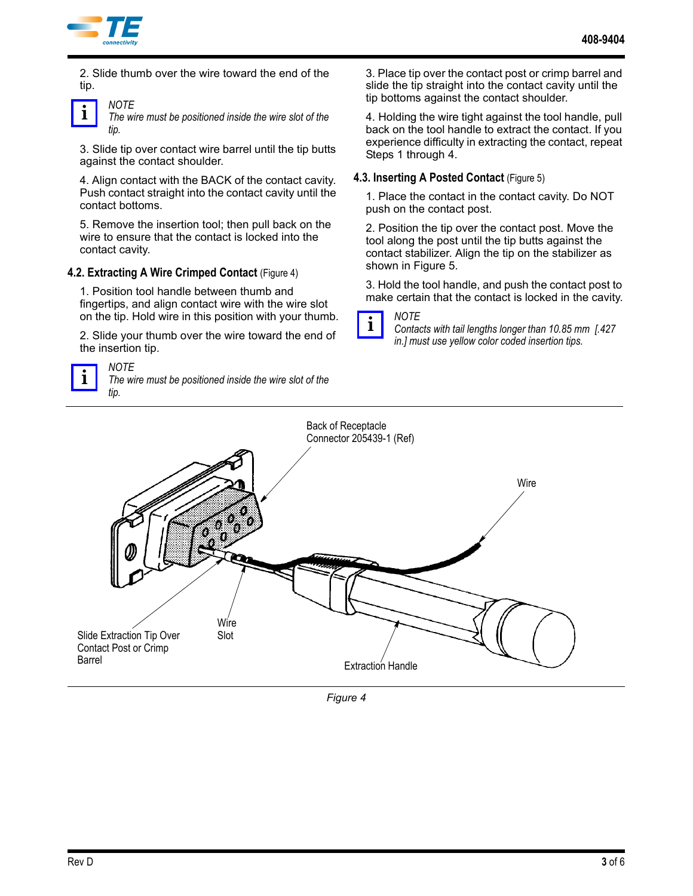

*NOTE*

2. Slide thumb over the wire toward the end of the tip.



*The wire must be positioned inside the wire slot of the tip.*

3. Slide tip over contact wire barrel until the tip butts against the contact shoulder.

4. Align contact with the BACK of the contact cavity. Push contact straight into the contact cavity until the contact bottoms.

5. Remove the insertion tool; then pull back on the wire to ensure that the contact is locked into the contact cavity.

#### **4.2. Extracting A Wire Crimped Contact** (Figure 4)

1. Position tool handle between thumb and fingertips, and align contact wire with the wire slot on the tip. Hold wire in this position with your thumb.

2. Slide your thumb over the wire toward the end of the insertion tip.



*NOTE The wire must be positioned inside the wire slot of the tip.*

3. Place tip over the contact post or crimp barrel and slide the tip straight into the contact cavity until the tip bottoms against the contact shoulder.

4. Holding the wire tight against the tool handle, pull back on the tool handle to extract the contact. If you experience difficulty in extracting the contact, repeat Steps 1 through 4.

#### **4.3. Inserting A Posted Contact** (Figure 5)

1. Place the contact in the contact cavity. Do NOT push on the contact post.

2. Position the tip over the contact post. Move the tool along the post until the tip butts against the contact stabilizer. Align the tip on the stabilizer as shown in Figure 5.

3. Hold the tool handle, and push the contact post to make certain that the contact is locked in the cavity.



*Contacts with tail lengths longer than 10.85 mm [.427 in.] must use yellow color coded insertion tips.*



*Figure 4*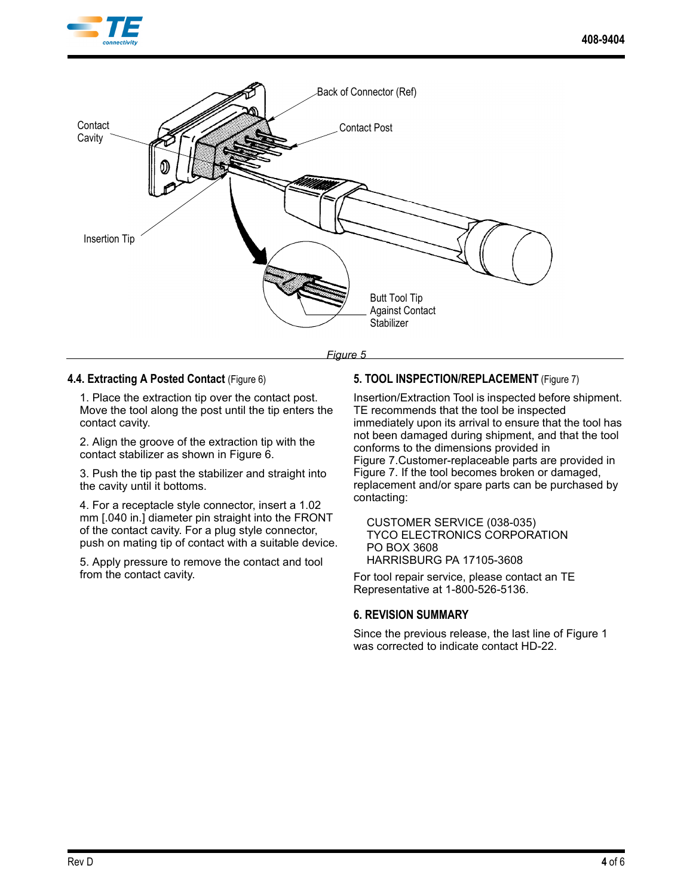



*Figure 5*

#### **4.4. Extracting A Posted Contact** (Figure 6)

1. Place the extraction tip over the contact post. Move the tool along the post until the tip enters the contact cavity.

2. Align the groove of the extraction tip with the contact stabilizer as shown in Figure 6.

3. Push the tip past the stabilizer and straight into the cavity until it bottoms.

4. For a receptacle style connector, insert a 1.02 mm [.040 in.] diameter pin straight into the FRONT of the contact cavity. For a plug style connector, push on mating tip of contact with a suitable device.

5. Apply pressure to remove the contact and tool from the contact cavity.

### **5. TOOL INSPECTION/REPLACEMENT** (Figure 7)

Insertion/Extraction Tool is inspected before shipment. TE recommends that the tool be inspected immediately upon its arrival to ensure that the tool has not been damaged during shipment, and that the tool conforms to the dimensions provided in Figure 7.Customer-replaceable parts are provided in Figure 7. If the tool becomes broken or damaged, replacement and/or spare parts can be purchased by contacting:

CUSTOMER SERVICE (038-035) TYCO ELECTRONICS CORPORATION PO BOX 3608 HARRISBURG PA 17105-3608

For tool repair service, please contact an TE Representative at 1-800-526-5136.

### **6. REVISION SUMMARY**

Since the previous release, the last line of Figure 1 was corrected to indicate contact HD-22.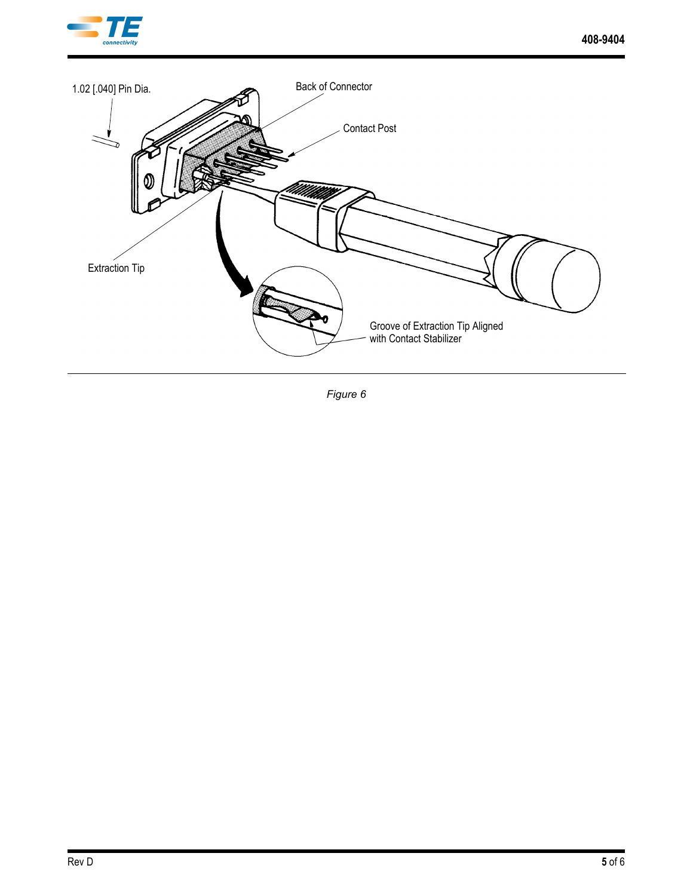



*Figure 6*